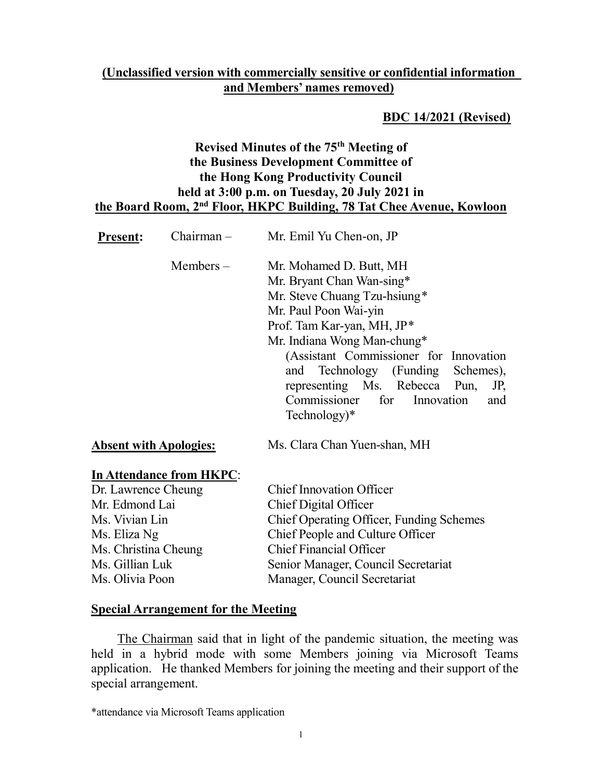#### (Unclassified version with commercially sensitive or confidential information and Members' names removed)

#### BDC 14/2021 (Revised)

# Revised Minutes of the 75th Meeting of the Business Development Committee of the Hong Kong Productivity Council held at 3:00 p.m. on Tuesday, 20 July 2021 in the Board Room, 2nd Floor, HKPC Building, 78 Tat Chee Avenue, Kowloon

| <b>Present:</b>               | $Chairman -$                    | Mr. Emil Yu Chen-on, JP                                                                                                                                                                                                                                                                                                                                 |
|-------------------------------|---------------------------------|---------------------------------------------------------------------------------------------------------------------------------------------------------------------------------------------------------------------------------------------------------------------------------------------------------------------------------------------------------|
|                               | Members $-$                     | Mr. Mohamed D. Butt, MH<br>Mr. Bryant Chan Wan-sing*<br>Mr. Steve Chuang Tzu-hsiung*<br>Mr. Paul Poon Wai-yin<br>Prof. Tam Kar-yan, MH, JP*<br>Mr. Indiana Wong Man-chung*<br>(Assistant Commissioner for Innovation<br>and Technology (Funding Schemes),<br>representing Ms. Rebecca Pun,<br>JP,<br>Commissioner for Innovation<br>and<br>Technology)* |
| <b>Absent with Apologies:</b> |                                 | Ms. Clara Chan Yuen-shan, MH                                                                                                                                                                                                                                                                                                                            |
|                               | <b>In Attendance from HKPC:</b> |                                                                                                                                                                                                                                                                                                                                                         |
| Dr. Lawrence Cheung           |                                 | <b>Chief Innovation Officer</b>                                                                                                                                                                                                                                                                                                                         |
| Mr. Edmond Lai                |                                 | Chief Digital Officer                                                                                                                                                                                                                                                                                                                                   |
| Ms. Vivian Lin                |                                 | <b>Chief Operating Officer, Funding Schemes</b>                                                                                                                                                                                                                                                                                                         |
| Ms. Eliza Ng                  |                                 | Chief People and Culture Officer                                                                                                                                                                                                                                                                                                                        |
| Ms. Christina Cheung          |                                 | <b>Chief Financial Officer</b>                                                                                                                                                                                                                                                                                                                          |
| Ms. Gillian Luk               |                                 | Senior Manager, Council Secretariat                                                                                                                                                                                                                                                                                                                     |
| Ms. Olivia Poon               |                                 | Manager, Council Secretariat                                                                                                                                                                                                                                                                                                                            |

#### Special Arrangement for the Meeting

The Chairman said that in light of the pandemic situation, the meeting was held in a hybrid mode with some Members joining via Microsoft Teams application. He thanked Members for joining the meeting and their support of the special arrangement.

\*attendance via Microsoft Teams application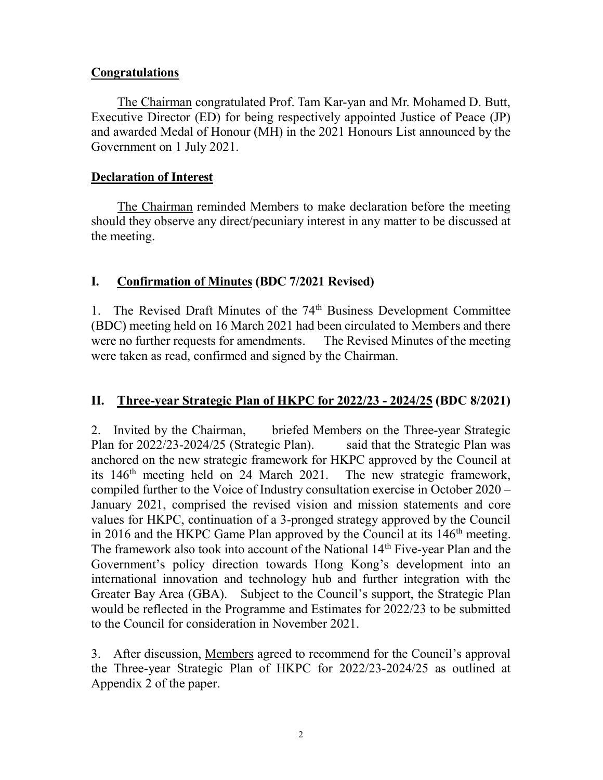#### **Congratulations**

The Chairman congratulated Prof. Tam Kar-yan and Mr. Mohamed D. Butt, Executive Director (ED) for being respectively appointed Justice of Peace (JP) and awarded Medal of Honour (MH) in the 2021 Honours List announced by the Government on 1 July 2021.

#### Declaration of Interest

The Chairman reminded Members to make declaration before the meeting should they observe any direct/pecuniary interest in any matter to be discussed at the meeting.

### I. Confirmation of Minutes (BDC 7/2021 Revised)

1. The Revised Draft Minutes of the 74<sup>th</sup> Business Development Committee (BDC) meeting held on 16 March 2021 had been circulated to Members and there were no further requests for amendments. The Revised Minutes of the meeting were taken as read, confirmed and signed by the Chairman.

### II. Three-year Strategic Plan of HKPC for 2022/23 - 2024/25 (BDC 8/2021)

2. Invited by the Chairman, briefed Members on the Three-year Strategic Plan for 2022/23-2024/25 (Strategic Plan). said that the Strategic Plan was anchored on the new strategic framework for HKPC approved by the Council at its 146<sup>th</sup> meeting held on 24 March 2021. The new strategic framework, compiled further to the Voice of Industry consultation exercise in October 2020 – January 2021, comprised the revised vision and mission statements and core values for HKPC, continuation of a 3-pronged strategy approved by the Council in 2016 and the HKPC Game Plan approved by the Council at its 146<sup>th</sup> meeting. The framework also took into account of the National 14<sup>th</sup> Five-year Plan and the Government's policy direction towards Hong Kong's development into an international innovation and technology hub and further integration with the Greater Bay Area (GBA). Subject to the Council's support, the Strategic Plan would be reflected in the Programme and Estimates for 2022/23 to be submitted to the Council for consideration in November 2021.

3. After discussion, Members agreed to recommend for the Council's approval the Three-year Strategic Plan of HKPC for 2022/23-2024/25 as outlined at Appendix 2 of the paper.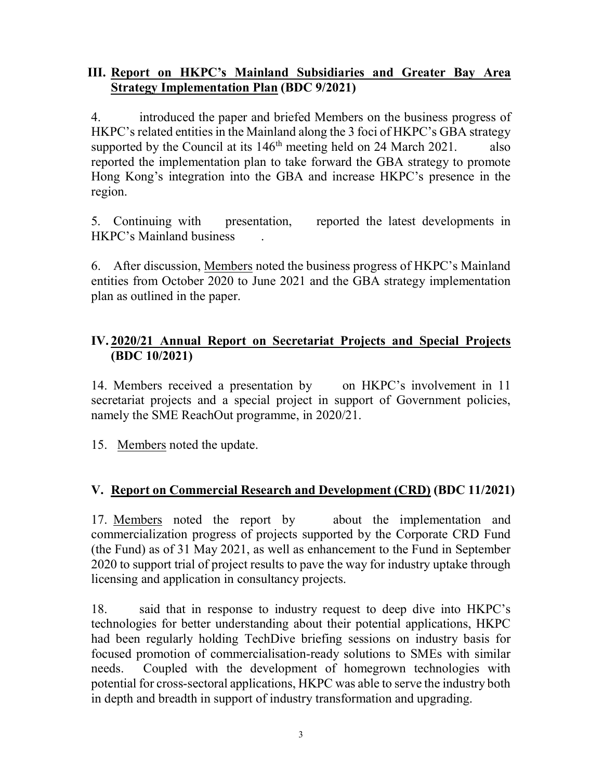#### III. Report on HKPC's Mainland Subsidiaries and Greater Bay Area Strategy Implementation Plan (BDC 9/2021)

4. introduced the paper and briefed Members on the business progress of HKPC's related entities in the Mainland along the 3 foci of HKPC's GBA strategy supported by the Council at its  $146<sup>th</sup>$  meeting held on 24 March 2021. also reported the implementation plan to take forward the GBA strategy to promote Hong Kong's integration into the GBA and increase HKPC's presence in the region.

5. Continuing with presentation, reported the latest developments in HKPC's Mainland business .

6. After discussion, Members noted the business progress of HKPC's Mainland entities from October 2020 to June 2021 and the GBA strategy implementation plan as outlined in the paper.

# IV. 2020/21 Annual Report on Secretariat Projects and Special Projects (BDC 10/2021)

14. Members received a presentation by on HKPC's involvement in 11 secretariat projects and a special project in support of Government policies, namely the SME ReachOut programme, in 2020/21.

15. Members noted the update.

### V. Report on Commercial Research and Development (CRD) (BDC 11/2021)

17. Members noted the report by about the implementation and commercialization progress of projects supported by the Corporate CRD Fund (the Fund) as of 31 May 2021, as well as enhancement to the Fund in September 2020 to support trial of project results to pave the way for industry uptake through licensing and application in consultancy projects.

18. said that in response to industry request to deep dive into HKPC's technologies for better understanding about their potential applications, HKPC had been regularly holding TechDive briefing sessions on industry basis for focused promotion of commercialisation-ready solutions to SMEs with similar needs. Coupled with the development of homegrown technologies with potential for cross-sectoral applications, HKPC was able to serve the industry both in depth and breadth in support of industry transformation and upgrading.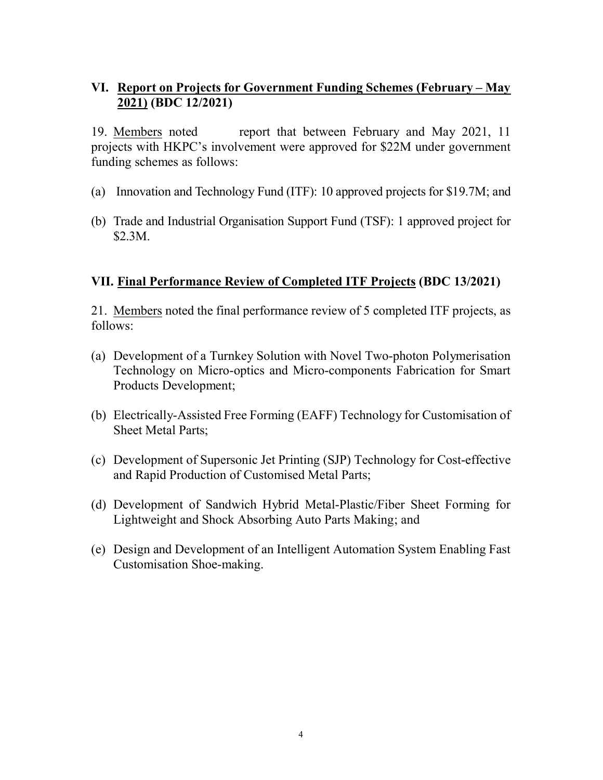### VI. Report on Projects for Government Funding Schemes (February – May 2021) (BDC 12/2021)

19. Members noted report that between February and May 2021, 11 projects with HKPC's involvement were approved for \$22M under government funding schemes as follows:

- (a) Innovation and Technology Fund (ITF): 10 approved projects for \$19.7M; and
- (b) Trade and Industrial Organisation Support Fund (TSF): 1 approved project for \$2.3M.

#### VII. Final Performance Review of Completed ITF Projects (BDC 13/2021)

21. Members noted the final performance review of 5 completed ITF projects, as follows:

- (a) Development of a Turnkey Solution with Novel Two-photon Polymerisation Technology on Micro-optics and Micro-components Fabrication for Smart Products Development;
- (b) Electrically-Assisted Free Forming (EAFF) Technology for Customisation of Sheet Metal Parts;
- (c) Development of Supersonic Jet Printing (SJP) Technology for Cost-effective and Rapid Production of Customised Metal Parts;
- (d) Development of Sandwich Hybrid Metal-Plastic/Fiber Sheet Forming for Lightweight and Shock Absorbing Auto Parts Making; and
- (e) Design and Development of an Intelligent Automation System Enabling Fast Customisation Shoe-making.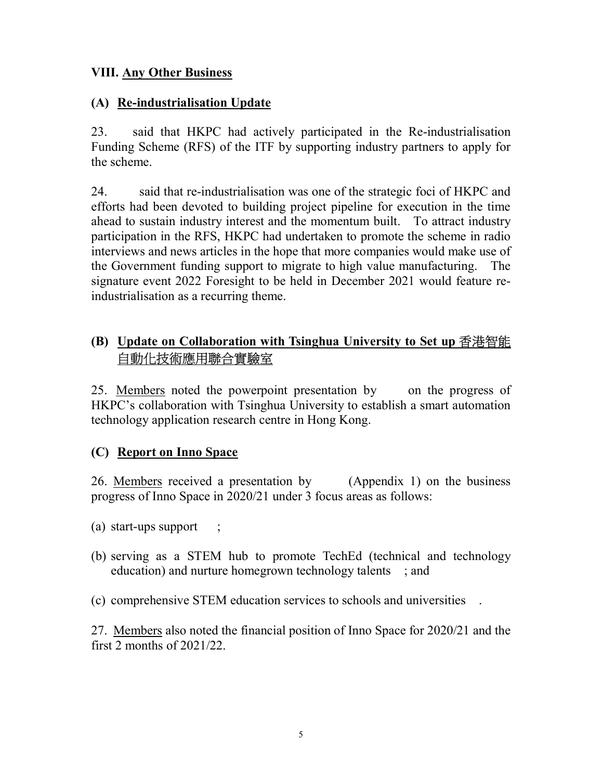#### VIII. Any Other Business

#### (A) Re-industrialisation Update

23. said that HKPC had actively participated in the Re-industrialisation Funding Scheme (RFS) of the ITF by supporting industry partners to apply for the scheme.

24. said that re-industrialisation was one of the strategic foci of HKPC and efforts had been devoted to building project pipeline for execution in the time ahead to sustain industry interest and the momentum built. To attract industry participation in the RFS, HKPC had undertaken to promote the scheme in radio interviews and news articles in the hope that more companies would make use of the Government funding support to migrate to high value manufacturing. The signature event 2022 Foresight to be held in December 2021 would feature reindustrialisation as a recurring theme.

# (B) Update on Collaboration with Tsinghua University to Set up 香港智能 自動化技術應用聯合實驗室

25. Members noted the powerpoint presentation by on the progress of HKPC's collaboration with Tsinghua University to establish a smart automation technology application research centre in Hong Kong.

### (C) Report on Inno Space

26. Members received a presentation by (Appendix 1) on the business progress of Inno Space in 2020/21 under 3 focus areas as follows:

(a) start-ups support ;

(b) serving as a STEM hub to promote TechEd (technical and technology education) and nurture homegrown technology talents ; and

(c) comprehensive STEM education services to schools and universities .

27. Members also noted the financial position of Inno Space for 2020/21 and the first 2 months of 2021/22.